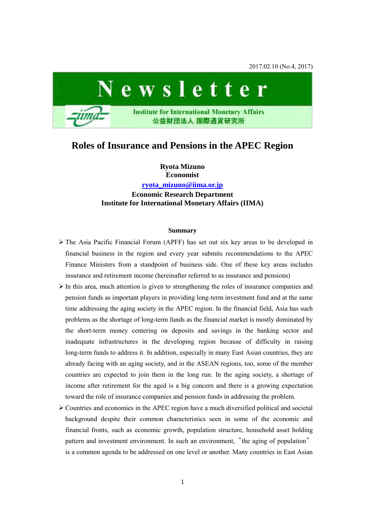2017.02.10 (No.4, 2017)



## **Roles of Insurance and Pensions in the APEC Region**

**Ryota Mizuno Economist [ryota\\_mizuno@iima.or.jp](mailto:ryota_mizuno@iima.or.jp) Economic Research Department Institute for International Monetary Affairs (IIMA)** 

## **Summary**

- The Asia Pacific Financial Forum (APFF) has set out six key areas to be developed in financial business in the region and every year submits recommendations to the APEC Finance Ministers from a standpoint of business side. One of these key areas includes insurance and retirement income (hereinafter referred to as insurance and pensions)
- $\triangleright$  In this area, much attention is given to strengthening the roles of insurance companies and pension funds as important players in providing long-term investment fund and at the same time addressing the aging society in the APEC region. In the financial field, Asia has such problems as the shortage of long-term funds as the financial market is mostly dominated by the short-term money centering on deposits and savings in the banking sector and inadequate infrastructures in the developing region because of difficulty in raising long-term funds to address it. In addition, especially in many East Asian countries, they are already facing with an aging society, and in the ASEAN regions, too, some of the member countries are expected to join them in the long run. In the aging society, a shortage of income after retirement for the aged is a big concern and there is a growing expectation toward the role of insurance companies and pension funds in addressing the problem.
- $\triangleright$  Countries and economies in the APEC region have a much diversified political and societal background despite their common characteristics seen in some of the economic and financial fronts, such as economic growth, population structure, household asset holding pattern and investment environment. In such an environment, "the aging of population" is a common agenda to be addressed on one level or another. Many countries in East Asian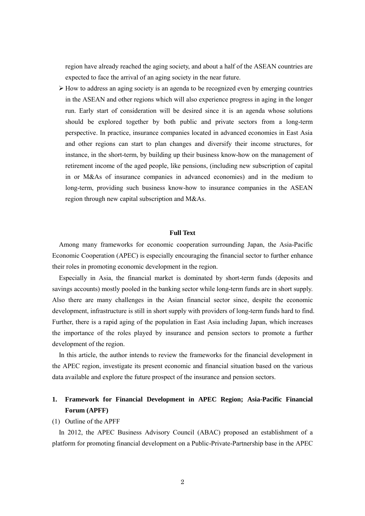region have already reached the aging society, and about a half of the ASEAN countries are expected to face the arrival of an aging society in the near future.

 $\triangleright$  How to address an aging society is an agenda to be recognized even by emerging countries in the ASEAN and other regions which will also experience progress in aging in the longer run. Early start of consideration will be desired since it is an agenda whose solutions should be explored together by both public and private sectors from a long-term perspective. In practice, insurance companies located in advanced economies in East Asia and other regions can start to plan changes and diversify their income structures, for instance, in the short-term, by building up their business know-how on the management of retirement income of the aged people, like pensions, (including new subscription of capital in or M&As of insurance companies in advanced economies) and in the medium to long-term, providing such business know-how to insurance companies in the ASEAN region through new capital subscription and M&As.

## **Full Text**

Among many frameworks for economic cooperation surrounding Japan, the Asia-Pacific Economic Cooperation (APEC) is especially encouraging the financial sector to further enhance their roles in promoting economic development in the region.

Especially in Asia, the financial market is dominated by short-term funds (deposits and savings accounts) mostly pooled in the banking sector while long-term funds are in short supply. Also there are many challenges in the Asian financial sector since, despite the economic development, infrastructure is still in short supply with providers of long-term funds hard to find. Further, there is a rapid aging of the population in East Asia including Japan, which increases the importance of the roles played by insurance and pension sectors to promote a further development of the region.

In this article, the author intends to review the frameworks for the financial development in the APEC region, investigate its present economic and financial situation based on the various data available and explore the future prospect of the insurance and pension sectors.

## **1. Framework for Financial Development in APEC Region; Asia-Pacific Financial Forum (APFF)**

#### (1) Outline of the APFF

In 2012, the APEC Business Advisory Council (ABAC) proposed an establishment of a platform for promoting financial development on a Public-Private-Partnership base in the APEC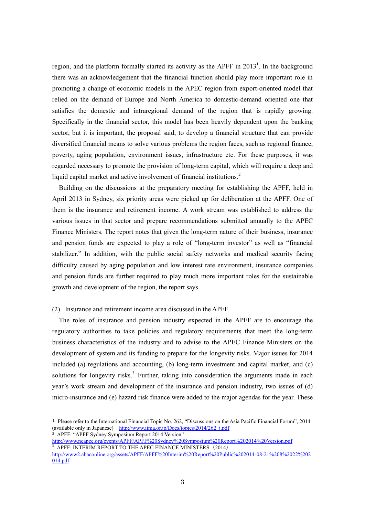region, and the platform formally started its activity as the APFF in 2013<sup>1</sup>. In the background there was an acknowledgement that the financial function should play more important role in promoting a change of economic models in the APEC region from export-oriented model that relied on the demand of Europe and North America to domestic-demand oriented one that satisfies the domestic and intraregional demand of the region that is rapidly growing. Specifically in the financial sector, this model has been heavily dependent upon the banking sector, but it is important, the proposal said, to develop a financial structure that can provide diversified financial means to solve various problems the region faces, such as regional finance, poverty, aging population, environment issues, infrastructure etc. For these purposes, it was regarded necessary to promote the provision of long-term capital, which will require a deep and liquid capital market and active involvement of financial institutions.<sup>2</sup>

Building on the discussions at the preparatory meeting for establishing the APFF, held in April 2013 in Sydney, six priority areas were picked up for deliberation at the APFF. One of them is the insurance and retirement income. A work stream was established to address the various issues in that sector and prepare recommendations submitted annually to the APEC Finance Ministers. The report notes that given the long-term nature of their business, insurance and pension funds are expected to play a role of "long-term investor" as well as "financial stabilizer." In addition, with the public social safety networks and medical security facing difficulty caused by aging population and low interest rate environment, insurance companies and pension funds are further required to play much more important roles for the sustainable growth and development of the region, the report says.

#### (2) Insurance and retirement income area discussed in the APFF

The roles of insurance and pension industry expected in the APFF are to encourage the regulatory authorities to take policies and regulatory requirements that meet the long-term business characteristics of the industry and to advise to the APEC Finance Ministers on the development of system and its funding to prepare for the longevity risks. Major issues for 2014 included (a) regulations and accounting, (b) long-term investment and capital market, and (c) solutions for longevity risks.<sup>3</sup> Further, taking into consideration the arguments made in each year's work stream and development of the insurance and pension industry, two issues of (d) micro-insurance and (e) hazard risk finance were added to the major agendas for the year. These

<sup>2</sup> APFF: "APFF Sydney Symposium Report 2014 Version"

-

<http://www.ncapec.org/events/APFF/APFF%20Sydney%20Symposium%20Report%202014%20Version.pdf>  $3$  APFF: INTERIM REPORT TO THE APEC FINANCE MINISTERS  $(2014)$ 

<sup>1</sup> Please refer to the International Financial Topic No. 262, "Discussions on the Asia Pacific Financial Forum", 2014 (available only in Japanese) http://www.iima.or.jp/Docs/topics/2014/262 j.pdf

[http://www2.abaconline.org/assets/APFF/APFF%20Interim%20Report%20Public%202014-08-21%208%2022%202](http://www2.abaconline.org/assets/APFF/APFF%20Interim%20Report%20Public%202014-08-21%208%2022%202014.pdf) [014.pdf](http://www2.abaconline.org/assets/APFF/APFF%20Interim%20Report%20Public%202014-08-21%208%2022%202014.pdf)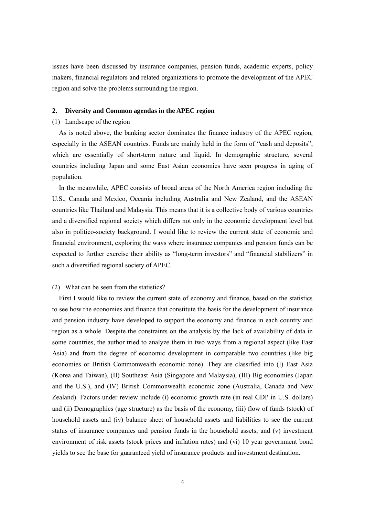issues have been discussed by insurance companies, pension funds, academic experts, policy makers, financial regulators and related organizations to promote the development of the APEC region and solve the problems surrounding the region.

## **2. Diversity and Common agendas in the APEC region**

#### (1) Landscape of the region

As is noted above, the banking sector dominates the finance industry of the APEC region, especially in the ASEAN countries. Funds are mainly held in the form of "cash and deposits", which are essentially of short-term nature and liquid. In demographic structure, several countries including Japan and some East Asian economies have seen progress in aging of population.

In the meanwhile, APEC consists of broad areas of the North America region including the U.S., Canada and Mexico, Oceania including Australia and New Zealand, and the ASEAN countries like Thailand and Malaysia. This means that it is a collective body of various countries and a diversified regional society which differs not only in the economic development level but also in politico-society background. I would like to review the current state of economic and financial environment, exploring the ways where insurance companies and pension funds can be expected to further exercise their ability as "long-term investors" and "financial stabilizers" in such a diversified regional society of APEC.

#### (2) What can be seen from the statistics?

First I would like to review the current state of economy and finance, based on the statistics to see how the economies and finance that constitute the basis for the development of insurance and pension industry have developed to support the economy and finance in each country and region as a whole. Despite the constraints on the analysis by the lack of availability of data in some countries, the author tried to analyze them in two ways from a regional aspect (like East Asia) and from the degree of economic development in comparable two countries (like big economies or British Commonwealth economic zone). They are classified into (I) East Asia (Korea and Taiwan), (II) Southeast Asia (Singapore and Malaysia), (III) Big economies (Japan and the U.S.), and (IV) British Commonwealth economic zone (Australia, Canada and New Zealand). Factors under review include (i) economic growth rate (in real GDP in U.S. dollars) and (ii) Demographics (age structure) as the basis of the economy, (iii) flow of funds (stock) of household assets and (iv) balance sheet of household assets and liabilities to see the current status of insurance companies and pension funds in the household assets, and (v) investment environment of risk assets (stock prices and inflation rates) and (vi) 10 year government bond yields to see the base for guaranteed yield of insurance products and investment destination.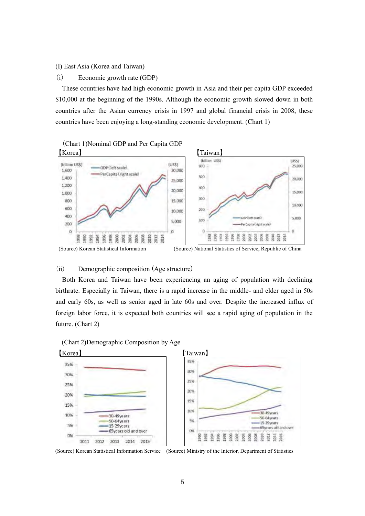(I) East Asia (Korea and Taiwan)

(i) Economic growth rate (GDP)

These countries have had high economic growth in Asia and their per capita GDP exceeded \$10,000 at the beginning of the 1990s. Although the economic growth slowed down in both countries after the Asian currency crisis in 1997 and global financial crisis in 2008, these countries have been enjoying a long-standing economic development. (Chart 1)



## (ii) Demographic composition (Age structure)

Both Korea and Taiwan have been experiencing an aging of population with declining birthrate. Especially in Taiwan, there is a rapid increase in the middle- and elder aged in 50s and early 60s, as well as senior aged in late 60s and over. Despite the increased influx of foreign labor force, it is expected both countries will see a rapid aging of population in the future. (Chart 2)





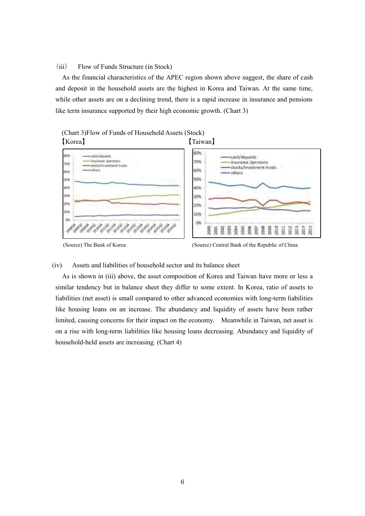#### (iii) Flow of Funds Structure (in Stock)

As the financial characteristics of the APEC region shown above suggest, the share of cash and deposit in the household assets are the highest in Korea and Taiwan. At the same time, while other assets are on a declining trend, there is a rapid increase in insurance and pensions like term insurance supported by their high economic growth. (Chart 3)





108.102

2328 2392

**PATO Quantity** 

40%

308

20%

um

DN



#### (iv) Assets and liabilities of household sector and its balance sheet

As is shown in (iii) above, the asset composition of Korea and Taiwan have more or less a similar tendency but in balance sheet they differ to some extent. In Korea, ratio of assets to liabilities (net asset) is small compared to other advanced economies with long-term liabilities like housing loans on an increase. The abundancy and liquidity of assets have been rather limited, causing concerns for their impact on the economy. Meanwhile in Taiwan, net asset is on a rise with long-term liabilities like housing loans decreasing. Abundancy and liquidity of household-held assets are increasing. (Chart 4)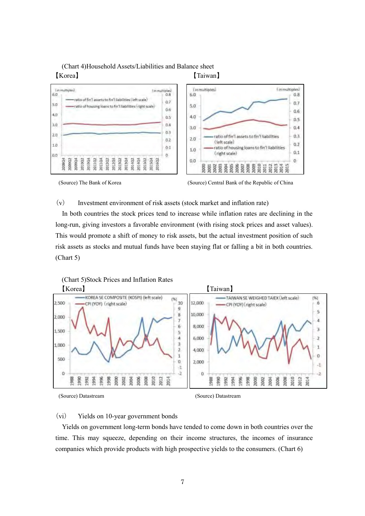## (Chart 4)Household Assets/Liabilities and Balance sheet 【Korea】 【Taiwan】



(Source) The Bank of Korea (Source) Central Bank of the Republic of China

(v) Investment environment of risk assets (stock market and inflation rate)

In both countries the stock prices tend to increase while inflation rates are declining in the long-run, giving investors a favorable environment (with rising stock prices and asset values). This would promote a shift of money to risk assets, but the actual investment position of such risk assets as stocks and mutual funds have been staying flat or falling a bit in both countries. (Chart 5)



## (vi) Yields on 10-year government bonds

(Chart 5)Stock Prices and Inflation Rates

Yields on government long-term bonds have tended to come down in both countries over the time. This may squeeze, depending on their income structures, the incomes of insurance companies which provide products with high prospective yields to the consumers. (Chart 6)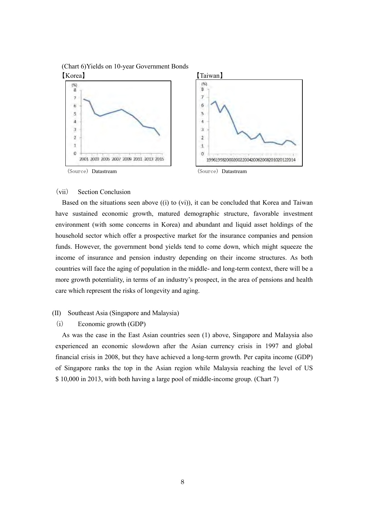(Chart 6)Yields on 10-year Government Bonds 【Korea】 【Taiwan】



## (vii) Section Conclusion

Based on the situations seen above ((i) to (vi)), it can be concluded that Korea and Taiwan have sustained economic growth, matured demographic structure, favorable investment environment (with some concerns in Korea) and abundant and liquid asset holdings of the household sector which offer a prospective market for the insurance companies and pension funds. However, the government bond yields tend to come down, which might squeeze the income of insurance and pension industry depending on their income structures. As both countries will face the aging of population in the middle- and long-term context, there will be a more growth potentiality, in terms of an industry's prospect, in the area of pensions and health care which represent the risks of longevity and aging.

## (II) Southeast Asia (Singapore and Malaysia)

## (i) Economic growth (GDP)

As was the case in the East Asian countries seen (1) above, Singapore and Malaysia also experienced an economic slowdown after the Asian currency crisis in 1997 and global financial crisis in 2008, but they have achieved a long-term growth. Per capita income (GDP) of Singapore ranks the top in the Asian region while Malaysia reaching the level of US \$ 10,000 in 2013, with both having a large pool of middle-income group. (Chart 7)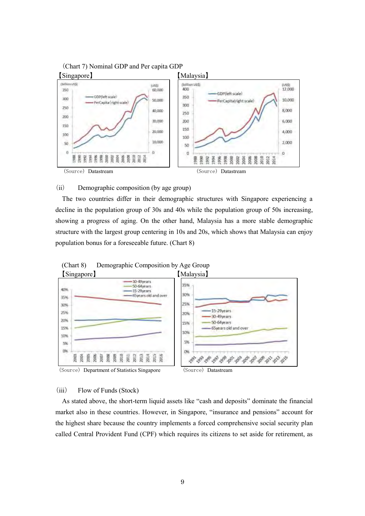

## (ii) Demographic composition (by age group)

The two countries differ in their demographic structures with Singapore experiencing a decline in the population group of 30s and 40s while the population group of 50s increasing, showing a progress of aging. On the other hand, Malaysia has a more stable demographic structure with the largest group centering in 10s and 20s, which shows that Malaysia can enjoy population bonus for a foreseeable future. (Chart 8)





#### (iii) Flow of Funds (Stock)

As stated above, the short-term liquid assets like "cash and deposits" dominate the financial market also in these countries. However, in Singapore, "insurance and pensions" account for the highest share because the country implements a forced comprehensive social security plan called Central Provident Fund (CPF) which requires its citizens to set aside for retirement, as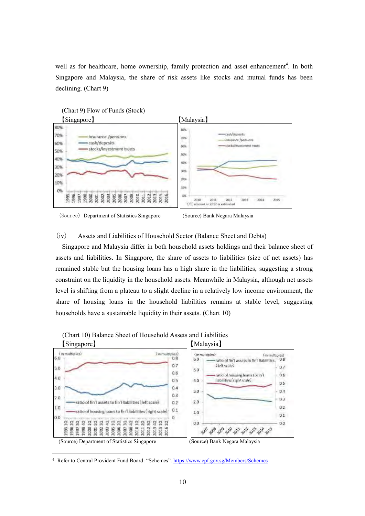well as for healthcare, home ownership, family protection and asset enhancement<sup>4</sup>. In both Singapore and Malaysia, the share of risk assets like stocks and mutual funds has been declining. (Chart 9)





(iv) Assets and Liabilities of Household Sector (Balance Sheet and Debts)

Singapore and Malaysia differ in both household assets holdings and their balance sheet of assets and liabilities. In Singapore, the share of assets to liabilities (size of net assets) has remained stable but the housing loans has a high share in the liabilities, suggesting a strong constraint on the liquidity in the household assets. Meanwhile in Malaysia, although net assets level is shifting from a plateau to a slight decline in a relatively low income environment, the share of housing loans in the household liabilities remains at stable level, suggesting households have a sustainable liquidity in their assets. (Chart 10)



(Chart 10) Balance Sheet of Household Assets and Liabilities

-

<sup>4</sup> Refer to Central Provident Fund Board: "Schemes".<https://www.cpf.gov.sg/Members/Schemes>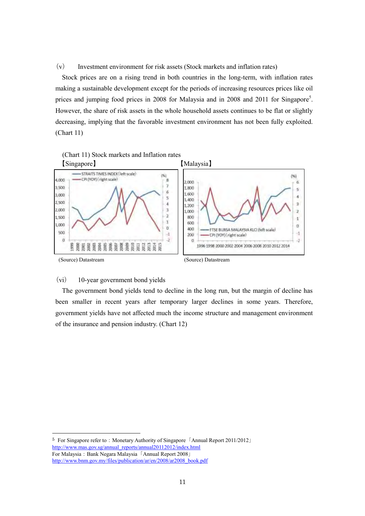(v) Investment environment for risk assets (Stock markets and inflation rates)

Stock prices are on a rising trend in both countries in the long-term, with inflation rates making a sustainable development except for the periods of increasing resources prices like oil prices and jumping food prices in 2008 for Malaysia and in 2008 and 2011 for Singapore<sup>5</sup>. However, the share of risk assets in the whole household assets continues to be flat or slightly decreasing, implying that the favorable investment environment has not been fully exploited. (Chart 11)



## (vi) 10-year government bond yields

-

The government bond yields tend to decline in the long run, but the margin of decline has been smaller in recent years after temporary larger declines in some years. Therefore, government yields have not affected much the income structure and management environment of the insurance and pension industry. (Chart 12)

<sup>&</sup>lt;sup>5</sup> For Singapore refer to: Monetary Authority of Singapore 「Annual Report 2011/2012」 [http://www.mas.gov.sg/annual\\_reports/annual20112012/index.html](http://www.mas.gov.sg/annual_reports/annual20112012/index.html) For Malaysia:Bank Negara Malaysia「Annual Report 2008」 [http://www.bnm.gov.my/files/publication/ar/en/2008/ar2008\\_book.pdf](http://www.bnm.gov.my/files/publication/ar/en/2008/ar2008_book.pdf)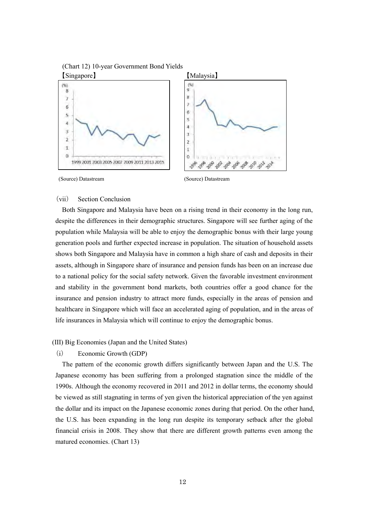

(Source) Datastream (Source) Datastream

## (vii) Section Conclusion

Both Singapore and Malaysia have been on a rising trend in their economy in the long run, despite the differences in their demographic structures. Singapore will see further aging of the population while Malaysia will be able to enjoy the demographic bonus with their large young generation pools and further expected increase in population. The situation of household assets shows both Singapore and Malaysia have in common a high share of cash and deposits in their assets, although in Singapore share of insurance and pension funds has been on an increase due to a national policy for the social safety network. Given the favorable investment environment and stability in the government bond markets, both countries offer a good chance for the insurance and pension industry to attract more funds, especially in the areas of pension and healthcare in Singapore which will face an accelerated aging of population, and in the areas of life insurances in Malaysia which will continue to enjoy the demographic bonus.

#### (III) Big Economies (Japan and the United States)

(i) Economic Growth (GDP)

The pattern of the economic growth differs significantly between Japan and the U.S. The Japanese economy has been suffering from a prolonged stagnation since the middle of the 1990s. Although the economy recovered in 2011 and 2012 in dollar terms, the economy should be viewed as still stagnating in terms of yen given the historical appreciation of the yen against the dollar and its impact on the Japanese economic zones during that period. On the other hand, the U.S. has been expanding in the long run despite its temporary setback after the global financial crisis in 2008. They show that there are different growth patterns even among the matured economies. (Chart 13)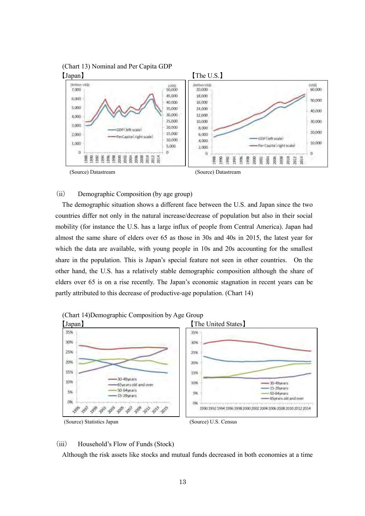

## (ii) Demographic Composition (by age group)

The demographic situation shows a different face between the U.S. and Japan since the two countries differ not only in the natural increase/decrease of population but also in their social mobility (for instance the U.S. has a large influx of people from Central America). Japan had almost the same share of elders over 65 as those in 30s and 40s in 2015, the latest year for which the data are available, with young people in 10s and 20s accounting for the smallest share in the population. This is Japan's special feature not seen in other countries. On the other hand, the U.S. has a relatively stable demographic composition although the share of elders over 65 is on a rise recently. The Japan's economic stagnation in recent years can be partly attributed to this decrease of productive-age population. (Chart 14)



#### (iii) Household's Flow of Funds (Stock)

Although the risk assets like stocks and mutual funds decreased in both economies at a time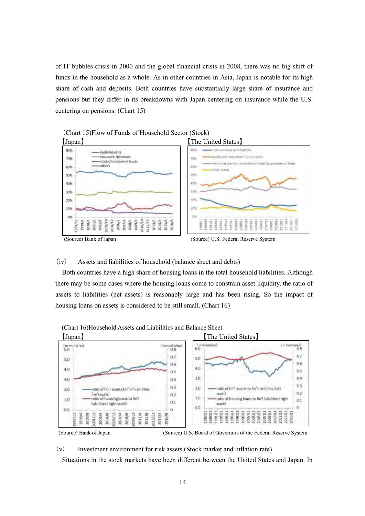of IT bubbles crisis in 2000 and the global financial crisis in 2008, there was no big shift of funds in the household as a whole. As in other countries in Asia, Japan is notable for its high share of cash and deposits. Both countries have substantially large share of insurance and pensions but they differ in its breakdowns with Japan centering on insurance while the U.S. centering on pensions. (Chart 15)





## (iv) Assets and liabilities of household (balance sheet and debts)

Both countries have a high share of housing loans in the total household liabilities. Although there may be some cases where the housing loans come to constrain asset liquidity, the ratio of assets to liabilities (net assets) is reasonably large and has been rising. So the impact of housing loans on assets is considered to be still small. (Chart 16)



(Chart 16)Household Assets and Liabilities and Balance Sheet



(v) Investment environment for risk assets (Stock market and inflation rate)

Situations in the stock markets have been different between the United States and Japan. In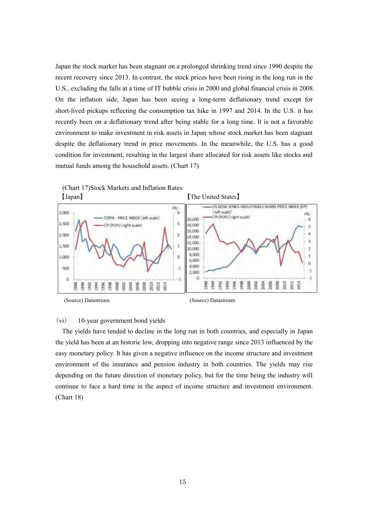Japan the stock market has been stagnant on a prolonged shrinking trend since 1990 despite the recent recovery since 2013. In contrast, the stock prices have been rising in the long run in the U.S., excluding the falls at a time of IT bubble crisis in 2000 and global financial crisis in 2008. On the inflation side, Japan has been seeing a long-term deflationary trend except for short-lived pickups reflecting the consumption tax hike in 1997 and 2014. In the U.S. it has recently been on a deflationary trend after being stable for a long time. It is not a favorable environment to make investment in risk assets in Japan whose stock market has been stagnant despite the deflationary trend in price movements. In the meanwhile, the U.S. has a good condition for investment, resulting in the largest share allocated for risk assets like stocks and mutual funds among the household assets. (Chart 17)



## (vi) 10-year government bond yields

The yields have tended to decline in the long run in both countries, and especially in Japan the yield has been at an historic low, dropping into negative range since 2013 influenced by the easy monetary policy. It has given a negative influence on the income structure and investment environment of the insurance and pension industry in both countries. The yields may rise depending on the future direction of monetary policy, but for the time being the industry will continue to face a hard time in the aspect of income structure and investment environment. (Chart 18)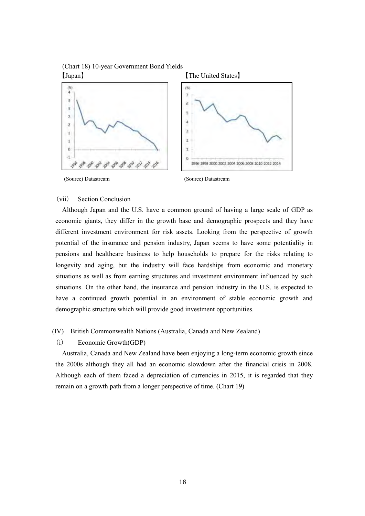

## (vii) Section Conclusion

Although Japan and the U.S. have a common ground of having a large scale of GDP as economic giants, they differ in the growth base and demographic prospects and they have different investment environment for risk assets. Looking from the perspective of growth potential of the insurance and pension industry, Japan seems to have some potentiality in pensions and healthcare business to help households to prepare for the risks relating to longevity and aging, but the industry will face hardships from economic and monetary situations as well as from earning structures and investment environment influenced by such situations. On the other hand, the insurance and pension industry in the U.S. is expected to have a continued growth potential in an environment of stable economic growth and demographic structure which will provide good investment opportunities.

## (IV) British Commonwealth Nations (Australia, Canada and New Zealand)

(i) Economic Growth(GDP)

Australia, Canada and New Zealand have been enjoying a long-term economic growth since the 2000s although they all had an economic slowdown after the financial crisis in 2008. Although each of them faced a depreciation of currencies in 2015, it is regarded that they remain on a growth path from a longer perspective of time. (Chart 19)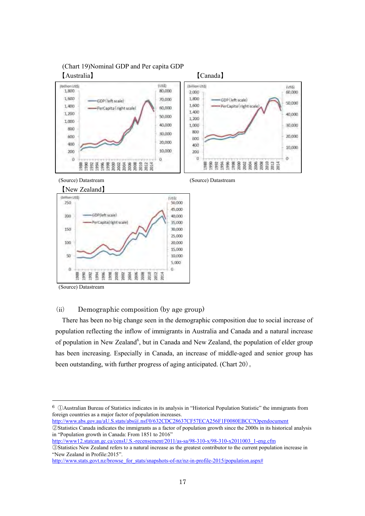

20,000

15,000

10,000 5,000

 $\overline{a}$ 

(Source) Datastream

 $\frac{3}{2}$ 

景  $994$ 996

880

100

50

 $\bar{\mathbf{a}}$ 

-

## (ii) Demographic composition (by age group)

**1988**<br>2002 2008 2008 2011<br>2012 2012 2013

There has been no big change seen in the demographic composition due to social increase of population reflecting the inflow of immigrants in Australia and Canada and a natural increase of population in New Zealand<sup>6</sup>, but in Canada and New Zealand, the population of elder group has been increasing. Especially in Canada, an increase of middle-aged and senior group has been outstanding, with further progress of aging anticipated. (Chart 20)。

 $6 \n\bigcap$ Australian Bureau of Statistics indicates in its analysis in "Historical Population Statistic" the immigrants from foreign countries as a major factor of population increases. [http://www.abs.gov.au/aU.S.stats/abs@.nsf/0/632CDC28637CF57ECA256F1F0080EBCC?Opendocument](http://www.abs.gov.au/ausstats/abs@.nsf/0/632CDC28637CF57ECA256F1F0080EBCC?Opendocument)

②Statistics Canada indicates the immigrants as a factor of population growth since the 2000s in its historical analysis in "Population growth in Canada: From 1851 to 2016" [http://www12.statcan.gc.ca/censU.S.-recensement/2011/as-sa/98-310-x/98-310-x2011003\\_1-eng.cfm](http://www12.statcan.gc.ca/census-recensement/2011/as-sa/98-310-x/98-310-x2011003_1-eng.cfm)

③Statistics New Zealand refers to a natural increase as the greatest contributor to the current population increase in "New Zealand in Profile:2015".

[http://www.stats.govt.nz/browse\\_for\\_stats/snapshots-of-nz/nz-in-profile-2015/population.aspx#](http://www.stats.govt.nz/browse_for_stats/snapshots-of-nz/nz-in-profile-2015/population.aspx)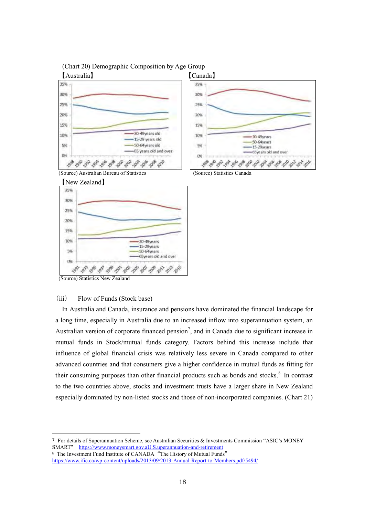



(Source) Australian Bureau of Statistics (Source) Statistics Canada





(Source) Statistics New Zealand

-

## (iii) Flow of Funds (Stock base)

In Australia and Canada, insurance and pensions have dominated the financial landscape for a long time, especially in Australia due to an increased inflow into superannuation system, an Australian version of corporate financed pension<sup>7</sup>, and in Canada due to significant increase in mutual funds in Stock/mutual funds category. Factors behind this increase include that influence of global financial crisis was relatively less severe in Canada compared to other advanced countries and that consumers give a higher confidence in mutual funds as fitting for their consuming purposes than other financial products such as bonds and stocks.<sup>8</sup> In contrast to the two countries above, stocks and investment trusts have a larger share in New Zealand especially dominated by non-listed stocks and those of non-incorporated companies. (Chart 21)

 $7$  For details of Superannuation Scheme, see Australian Securities  $\&$  Investments Commission "ASIC's MONEY SMART" [https://www.moneysmart.gov.aU.S.uperannuation-and-retirement](https://www.moneysmart.gov.au/superannuation-and-retirement)

<sup>8</sup> The Investment Fund Institute of CANADA"The History of Mutual Funds" <https://www.ific.ca/wp-content/uploads/2013/09/2013-Annual-Report-to-Members.pdf/5494/>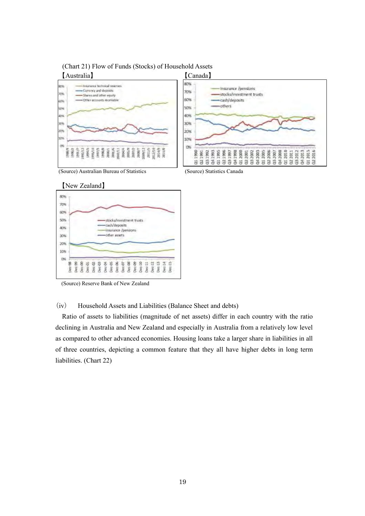

# (Chart 21) Flow of Funds (Stocks) of Household Assets





(Source) Reserve Bank of New Zealand

(iv) Household Assets and Liabilities (Balance Sheet and debts)

Ratio of assets to liabilities (magnitude of net assets) differ in each country with the ratio declining in Australia and New Zealand and especially in Australia from a relatively low level as compared to other advanced economies. Housing loans take a larger share in liabilities in all of three countries, depicting a common feature that they all have higher debts in long term liabilities. (Chart 22)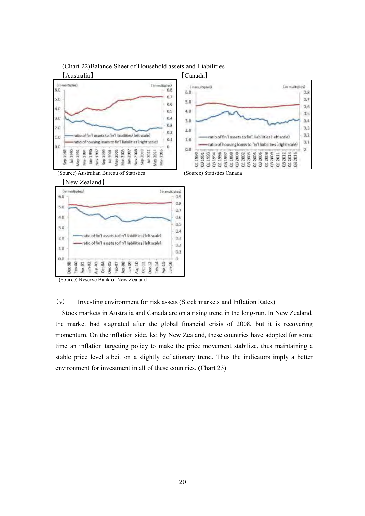

(Chart 22)Balance Sheet of Household assets and Liabilities

(Source) Reserve Bank of New Zealand

Az.

Dec

Ą

(v) Investing environment for risk assets (Stock markets and Inflation Rates)

 $\frac{5}{2}$ 

Stock markets in Australia and Canada are on a rising trend in the long-run. In New Zealand, the market had stagnated after the global financial crisis of 2008, but it is recovering momentum. On the inflation side, led by New Zealand, these countries have adopted for some time an inflation targeting policy to make the price movement stabilize, thus maintaining a stable price level albeit on a slightly deflationary trend. Thus the indicators imply a better environment for investment in all of these countries. (Chart 23)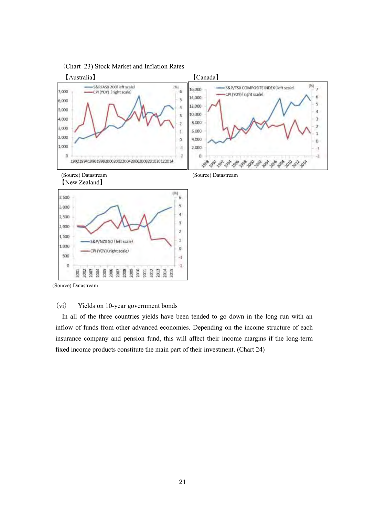

(Source) Datastream

## (vi) Yields on 10-year government bonds

In all of the three countries yields have been tended to go down in the long run with an inflow of funds from other advanced economies. Depending on the income structure of each insurance company and pension fund, this will affect their income margins if the long-term fixed income products constitute the main part of their investment. (Chart 24)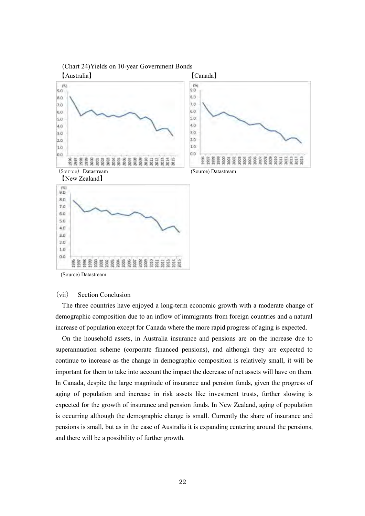

(Chart 24)Yields on 10-year Government Bonds

(Source) Datastream

#### (vii) Section Conclusion

The three countries have enjoyed a long-term economic growth with a moderate change of demographic composition due to an inflow of immigrants from foreign countries and a natural increase of population except for Canada where the more rapid progress of aging is expected.

On the household assets, in Australia insurance and pensions are on the increase due to superannuation scheme (corporate financed pensions), and although they are expected to continue to increase as the change in demographic composition is relatively small, it will be important for them to take into account the impact the decrease of net assets will have on them. In Canada, despite the large magnitude of insurance and pension funds, given the progress of aging of population and increase in risk assets like investment trusts, further slowing is expected for the growth of insurance and pension funds. In New Zealand, aging of population is occurring although the demographic change is small. Currently the share of insurance and pensions is small, but as in the case of Australia it is expanding centering around the pensions, and there will be a possibility of further growth.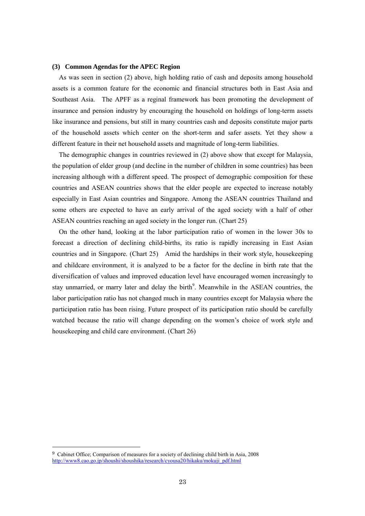#### **(3) Common Agendas for the APEC Region**

As was seen in section (2) above, high holding ratio of cash and deposits among household assets is a common feature for the economic and financial structures both in East Asia and Southeast Asia. The APFF as a reginal framework has been promoting the development of insurance and pension industry by encouraging the household on holdings of long-term assets like insurance and pensions, but still in many countries cash and deposits constitute major parts of the household assets which center on the short-term and safer assets. Yet they show a different feature in their net household assets and magnitude of long-term liabilities.

The demographic changes in countries reviewed in (2) above show that except for Malaysia, the population of elder group (and decline in the number of children in some countries) has been increasing although with a different speed. The prospect of demographic composition for these countries and ASEAN countries shows that the elder people are expected to increase notably especially in East Asian countries and Singapore. Among the ASEAN countries Thailand and some others are expected to have an early arrival of the aged society with a half of other ASEAN countries reaching an aged society in the longer run. (Chart 25)

On the other hand, looking at the labor participation ratio of women in the lower 30s to forecast a direction of declining child-births, its ratio is rapidly increasing in East Asian countries and in Singapore. (Chart 25) Amid the hardships in their work style, housekeeping and childcare environment, it is analyzed to be a factor for the decline in birth rate that the diversification of values and improved education level have encouraged women increasingly to stay unmarried, or marry later and delay the birth<sup>9</sup>. Meanwhile in the ASEAN countries, the labor participation ratio has not changed much in many countries except for Malaysia where the participation ratio has been rising. Future prospect of its participation ratio should be carefully watched because the ratio will change depending on the women's choice of work style and housekeeping and child care environment. (Chart 26)

-

<sup>9</sup> Cabinet Office; Comparison of measures for a society of declining child birth in Asia, 2008 [http://www8.cao.go.jp/shoushi/shoushika/research/cyousa20/hikaku/mokuji\\_pdf.html](http://www8.cao.go.jp/shoushi/shoushika/research/cyousa20/hikaku/mokuji_pdf.html)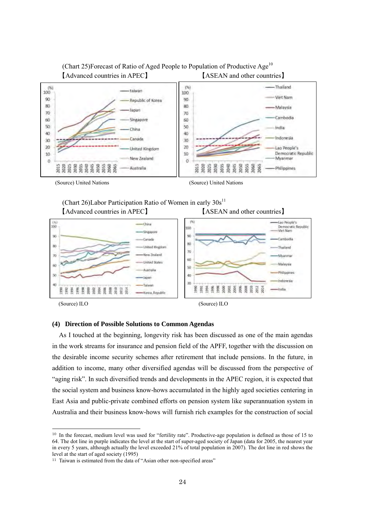

(Chart 25)Forecast of Ratio of Aged People to Population of Productive Age<sup>10</sup>



(Chart 26)Labor Participation Ratio of Women in early  $30s^{11}$ 【Advanced countries in APEC】 【ASEAN and other countries】



-

#### **(4) Direction of Possible Solutions to Common Agendas**

As I touched at the beginning, longevity risk has been discussed as one of the main agendas in the work streams for insurance and pension field of the APFF, together with the discussion on the desirable income security schemes after retirement that include pensions. In the future, in addition to income, many other diversified agendas will be discussed from the perspective of "aging risk". In such diversified trends and developments in the APEC region, it is expected that the social system and business know-hows accumulated in the highly aged societies centering in East Asia and public-private combined efforts on pension system like superannuation system in Australia and their business know-hows will furnish rich examples for the construction of social

<sup>&</sup>lt;sup>10</sup> In the forecast, medium level was used for "fertility rate". Productive-age population is defined as those of 15 to 64. The dot line in purple indicates the level at the start of super-aged society of Japan (data for 2005, the nearest year in every 5 years, although actually the level exceeded 21% of total population in 2007). The dot line in red shows the level at the start of aged society (1995)

<sup>&</sup>lt;sup>11</sup> Taiwan is estimated from the data of "Asian other non-specified areas"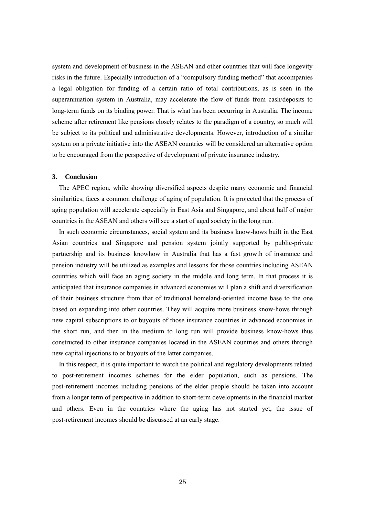system and development of business in the ASEAN and other countries that will face longevity risks in the future. Especially introduction of a "compulsory funding method" that accompanies a legal obligation for funding of a certain ratio of total contributions, as is seen in the superannuation system in Australia, may accelerate the flow of funds from cash/deposits to long-term funds on its binding power. That is what has been occurring in Australia. The income scheme after retirement like pensions closely relates to the paradigm of a country, so much will be subject to its political and administrative developments. However, introduction of a similar system on a private initiative into the ASEAN countries will be considered an alternative option to be encouraged from the perspective of development of private insurance industry.

#### **3. Conclusion**

The APEC region, while showing diversified aspects despite many economic and financial similarities, faces a common challenge of aging of population. It is projected that the process of aging population will accelerate especially in East Asia and Singapore, and about half of major countries in the ASEAN and others will see a start of aged society in the long run.

In such economic circumstances, social system and its business know-hows built in the East Asian countries and Singapore and pension system jointly supported by public-private partnership and its business knowhow in Australia that has a fast growth of insurance and pension industry will be utilized as examples and lessons for those countries including ASEAN countries which will face an aging society in the middle and long term. In that process it is anticipated that insurance companies in advanced economies will plan a shift and diversification of their business structure from that of traditional homeland-oriented income base to the one based on expanding into other countries. They will acquire more business know-hows through new capital subscriptions to or buyouts of those insurance countries in advanced economies in the short run, and then in the medium to long run will provide business know-hows thus constructed to other insurance companies located in the ASEAN countries and others through new capital injections to or buyouts of the latter companies.

In this respect, it is quite important to watch the political and regulatory developments related to post-retirement incomes schemes for the elder population, such as pensions. The post-retirement incomes including pensions of the elder people should be taken into account from a longer term of perspective in addition to short-term developments in the financial market and others. Even in the countries where the aging has not started yet, the issue of post-retirement incomes should be discussed at an early stage.